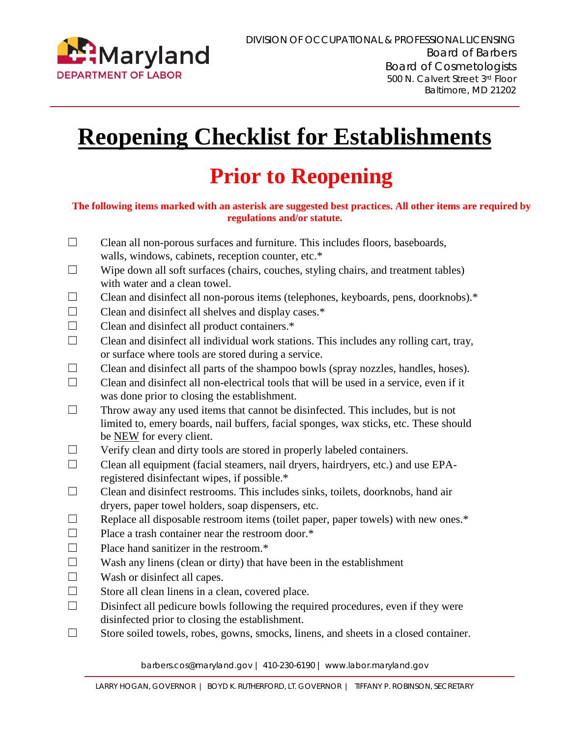

# **Reopening Checklist for Establishments**

# **Prior to Reopening**

#### **The following items marked with an asterisk are suggested best practices. All other items are required by regulations and/or statute.**

- $\Box$  Clean all non-porous surfaces and furniture. This includes floors, baseboards, walls, windows, cabinets, reception counter, etc.\*
- $\Box$  Wipe down all soft surfaces (chairs, couches, styling chairs, and treatment tables) with water and a clean towel.
- ☐ Clean and disinfect all non-porous items (telephones, keyboards, pens, doorknobs).\*
- $\Box$  Clean and disinfect all shelves and display cases. $*$
- $\Box$  Clean and disinfect all product containers. $*$
- $\Box$  Clean and disinfect all individual work stations. This includes any rolling cart, tray, or surface where tools are stored during a service.
- ☐ Clean and disinfect all parts of the shampoo bowls (spray nozzles, handles, hoses).
- $\Box$  Clean and disinfect all non-electrical tools that will be used in a service, even if it was done prior to closing the establishment.
- $\Box$  Throw away any used items that cannot be disinfected. This includes, but is not limited to, emery boards, nail buffers, facial sponges, wax sticks, etc. These should be NEW for every client.
- ☐ Verify clean and dirty tools are stored in properly labeled containers.
- ☐ Clean all equipment (facial steamers, nail dryers, hairdryers, etc.) and use EPAregistered disinfectant wipes, if possible.\*
- ☐ Clean and disinfect restrooms. This includes sinks, toilets, doorknobs, hand air dryers, paper towel holders, soap dispensers, etc.
- $\Box$  Replace all disposable restroom items (toilet paper, paper towels) with new ones. $*$
- $\Box$  Place a trash container near the restroom door. $*$
- $\Box$  Place hand sanitizer in the restroom.\*
- $\Box$  Wash any linens (clean or dirty) that have been in the establishment
- $\Box$  Wash or disinfect all capes.
- $\Box$  Store all clean linens in a clean, covered place.
- $\Box$  Disinfect all pedicure bowls following the required procedures, even if they were disinfected prior to closing the establishment.
- ☐ Store soiled towels, robes, gowns, smocks, linens, and sheets in a closed container.

barbers.cos@maryland.gov | 410-230-6190 | www.labor.maryland.gov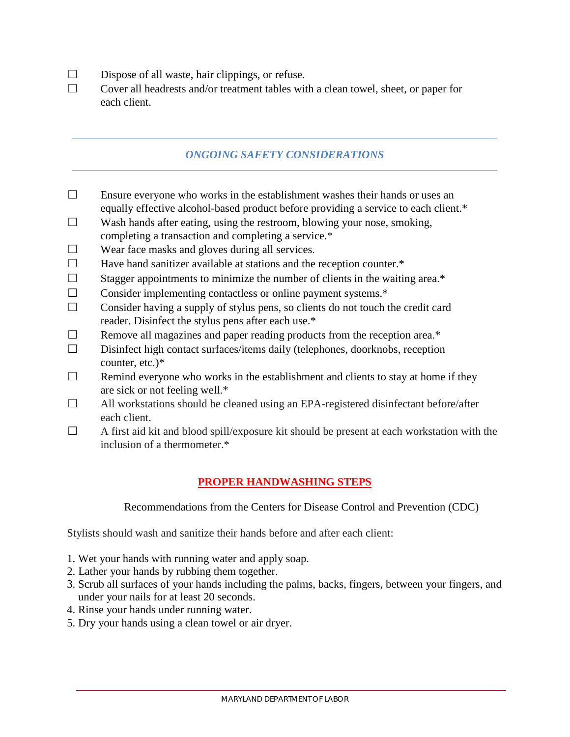- $\square$  Dispose of all waste, hair clippings, or refuse.
- $\Box$  Cover all headrests and/or treatment tables with a clean towel, sheet, or paper for each client.

#### *ONGOING SAFETY CONSIDERATIONS*

- $\Box$  Ensure everyone who works in the establishment washes their hands or uses an equally effective alcohol-based product before providing a service to each client.\*
- $\Box$  Wash hands after eating, using the restroom, blowing your nose, smoking, completing a transaction and completing a service.\*
- $\Box$  Wear face masks and gloves during all services.
- $\Box$  Have hand sanitizer available at stations and the reception counter. $*$
- $\Box$  Stagger appointments to minimize the number of clients in the waiting area.\*
- ☐ Consider implementing contactless or online payment systems.\*
- $\Box$  Consider having a supply of stylus pens, so clients do not touch the credit card reader. Disinfect the stylus pens after each use.\*
- $\Box$  Remove all magazines and paper reading products from the reception area. $*$
- ☐ Disinfect high contact surfaces/items daily (telephones, doorknobs, reception counter, etc.)\*
- $\Box$  Remind everyone who works in the establishment and clients to stay at home if they are sick or not feeling well.\*
- ☐ All workstations should be cleaned using an EPA-registered disinfectant before/after each client.
- $\Box$  A first aid kit and blood spill/exposure kit should be present at each workstation with the inclusion of a thermometer.\*

### **PROPER HANDWASHING STEPS**

Recommendations from the Centers for Disease Control and Prevention (CDC)

Stylists should wash and sanitize their hands before and after each client:

- 1. Wet your hands with running water and apply soap.
- 2. Lather your hands by rubbing them together.
- 3. Scrub all surfaces of your hands including the palms, backs, fingers, between your fingers, and under your nails for at least 20 seconds.
- 4. Rinse your hands under running water.
- 5. Dry your hands using a clean towel or air dryer.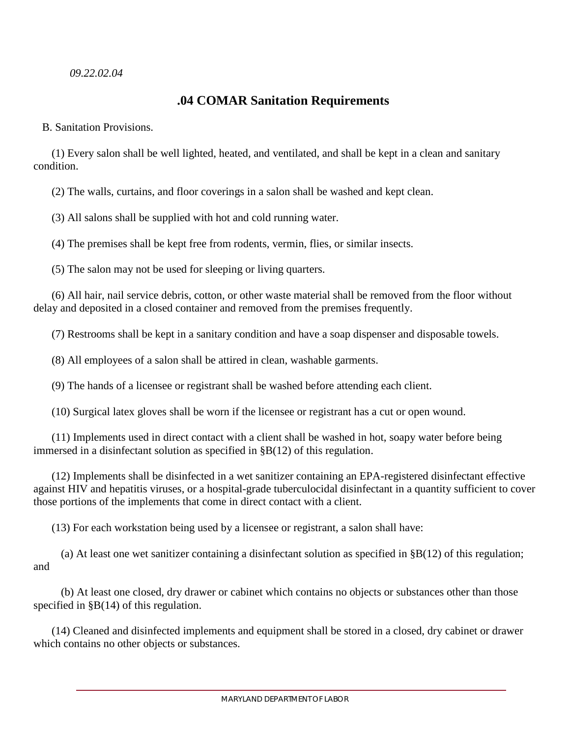#### *09.22.02.04*

## **.04 COMAR Sanitation Requirements**

B. Sanitation Provisions.

(1) Every salon shall be well lighted, heated, and ventilated, and shall be kept in a clean and sanitary condition.

(2) The walls, curtains, and floor coverings in a salon shall be washed and kept clean.

(3) All salons shall be supplied with hot and cold running water.

(4) The premises shall be kept free from rodents, vermin, flies, or similar insects.

(5) The salon may not be used for sleeping or living quarters.

(6) All hair, nail service debris, cotton, or other waste material shall be removed from the floor without delay and deposited in a closed container and removed from the premises frequently.

(7) Restrooms shall be kept in a sanitary condition and have a soap dispenser and disposable towels.

(8) All employees of a salon shall be attired in clean, washable garments.

(9) The hands of a licensee or registrant shall be washed before attending each client.

(10) Surgical latex gloves shall be worn if the licensee or registrant has a cut or open wound.

(11) Implements used in direct contact with a client shall be washed in hot, soapy water before being immersed in a disinfectant solution as specified in §B(12) of this regulation.

(12) Implements shall be disinfected in a wet sanitizer containing an EPA-registered disinfectant effective against HIV and hepatitis viruses, or a hospital-grade tuberculocidal disinfectant in a quantity sufficient to cover those portions of the implements that come in direct contact with a client.

(13) For each workstation being used by a licensee or registrant, a salon shall have:

(a) At least one wet sanitizer containing a disinfectant solution as specified in  $\S$ B(12) of this regulation; and

(b) At least one closed, dry drawer or cabinet which contains no objects or substances other than those specified in §B(14) of this regulation.

(14) Cleaned and disinfected implements and equipment shall be stored in a closed, dry cabinet or drawer which contains no other objects or substances.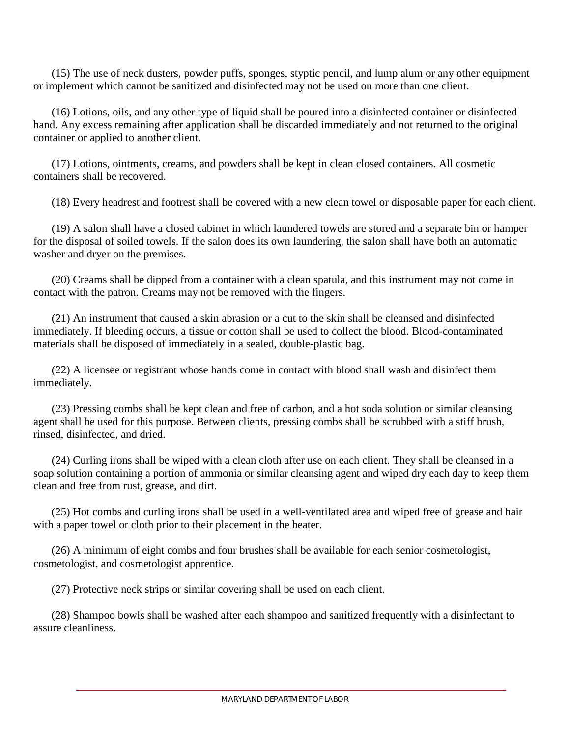(15) The use of neck dusters, powder puffs, sponges, styptic pencil, and lump alum or any other equipment or implement which cannot be sanitized and disinfected may not be used on more than one client.

(16) Lotions, oils, and any other type of liquid shall be poured into a disinfected container or disinfected hand. Any excess remaining after application shall be discarded immediately and not returned to the original container or applied to another client.

(17) Lotions, ointments, creams, and powders shall be kept in clean closed containers. All cosmetic containers shall be recovered.

(18) Every headrest and footrest shall be covered with a new clean towel or disposable paper for each client.

(19) A salon shall have a closed cabinet in which laundered towels are stored and a separate bin or hamper for the disposal of soiled towels. If the salon does its own laundering, the salon shall have both an automatic washer and dryer on the premises.

(20) Creams shall be dipped from a container with a clean spatula, and this instrument may not come in contact with the patron. Creams may not be removed with the fingers.

(21) An instrument that caused a skin abrasion or a cut to the skin shall be cleansed and disinfected immediately. If bleeding occurs, a tissue or cotton shall be used to collect the blood. Blood-contaminated materials shall be disposed of immediately in a sealed, double-plastic bag.

(22) A licensee or registrant whose hands come in contact with blood shall wash and disinfect them immediately.

(23) Pressing combs shall be kept clean and free of carbon, and a hot soda solution or similar cleansing agent shall be used for this purpose. Between clients, pressing combs shall be scrubbed with a stiff brush, rinsed, disinfected, and dried.

(24) Curling irons shall be wiped with a clean cloth after use on each client. They shall be cleansed in a soap solution containing a portion of ammonia or similar cleansing agent and wiped dry each day to keep them clean and free from rust, grease, and dirt.

(25) Hot combs and curling irons shall be used in a well-ventilated area and wiped free of grease and hair with a paper towel or cloth prior to their placement in the heater.

(26) A minimum of eight combs and four brushes shall be available for each senior cosmetologist, cosmetologist, and cosmetologist apprentice.

(27) Protective neck strips or similar covering shall be used on each client.

(28) Shampoo bowls shall be washed after each shampoo and sanitized frequently with a disinfectant to assure cleanliness.